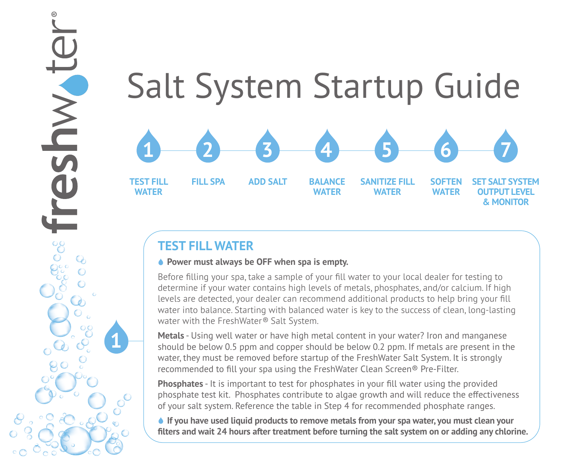### Salt System Startup Guide **TEST FILL WATER FILL SPA ADD SALT BALANCE WATER SANITIZE FILL WATER SOFTEN WATER SET SALT SYSTEM OUTPUT LEVEL 1 2 3 4 5 6 7**

# **TEST FILL WATER**

**1**

JWVIJS

## **◆ Power must always be OFF when spa is empty.**

Before filling your spa, take a sample of your fill water to your local dealer for testing to determine if your water contains high levels of metals, phosphates, and/or calcium. If high levels are detected, your dealer can recommend additional products to help bring your fill water into balance. Starting with balanced water is key to the success of clean, long-lasting water with the FreshWater*®* Salt System.

**& MONITOR**

**Metals** - Using well water or have high metal content in your water? Iron and manganese should be below 0.5 ppm and copper should be below 0.2 ppm. If metals are present in the water, they must be removed before startup of the FreshWater Salt System. It is strongly recommended to fill your spa using the FreshWater Clean Screen® Pre-Filter.

**Phosphates** - It is important to test for phosphates in your fill water using the provided phosphate test kit. Phosphates contribute to algae growth and will reduce the effectiveness of your salt system. Reference the table in Step 4 for recommended phosphate ranges.

 **If you have used liquid products to remove metals from your spa water, you must clean your filters and wait 24 hours after treatment before turning the salt system on or adding any chlorine.**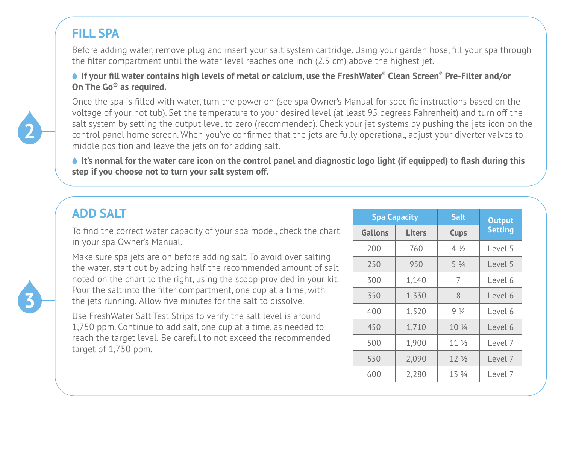# **FILL SPA**

Before adding water, remove plug and insert your salt system cartridge. Using your garden hose, fill your spa through the filter compartment until the water level reaches one inch (2.5 cm) above the highest jet.

 **If your fill water contains high levels of metal or calcium, use the FreshWater® Clean Screen® Pre-Filter and/or On The Go® as required.** 



Once the spa is filled with water, turn the power on (see spa Owner's Manual for specific instructions based on the voltage of your hot tub). Set the temperature to your desired level (at least 95 degrees Fahrenheit) and turn off the salt system by setting the output level to zero (recommended). Check your jet systems by pushing the jets icon on the control panel home screen. When you've confirmed that the jets are fully operational, adjust your diverter valves to middle position and leave the jets on for adding salt.

 **It's normal for the water care icon on the control panel and diagnostic logo light (if equipped) to flash during this step if you choose not to turn your salt system off.** 

| <b>ADD SALT</b>                                                                                                                                                                                                     |     | <b>Spa Capacity</b> |                 | <b>Output</b>  |
|---------------------------------------------------------------------------------------------------------------------------------------------------------------------------------------------------------------------|-----|---------------------|-----------------|----------------|
| To find the correct water capacity of your spa model, check the chart                                                                                                                                               |     | Liters              | Cups            | <b>Setting</b> |
| in your spa Owner's Manual.                                                                                                                                                                                         | 200 | 760                 | $4\frac{1}{2}$  | Level 5        |
| Make sure spa jets are on before adding salt. To avoid over salting<br>the water, start out by adding half the recommended amount of salt<br>noted on the chart to the right, using the scoop provided in your kit. | 250 | 950                 | $5\frac{3}{4}$  | Level 5        |
|                                                                                                                                                                                                                     | 300 | 1.140               | 7               | Level 6        |
| Pour the salt into the filter compartment, one cup at a time, with<br>the jets running. Allow five minutes for the salt to dissolve.                                                                                |     | 1,330               | 8               | Level 6        |
| Use FreshWater Salt Test Strips to verify the salt level is around                                                                                                                                                  | 400 | 1.520               | $9\frac{1}{4}$  | Level 6        |
| 1,750 ppm. Continue to add salt, one cup at a time, as needed to                                                                                                                                                    | 450 | 1,710               | 10 <sub>4</sub> | Level 6        |
| reach the target level. Be careful to not exceed the recommended<br>target of 1,750 ppm.                                                                                                                            | 500 | 1.900               | 11 <sub>2</sub> | Level 7        |
|                                                                                                                                                                                                                     | 550 | 2.090               | 12 <sub>2</sub> | Level 7        |
|                                                                                                                                                                                                                     | 600 | 2.280               | 13 3/4          | Level 7        |

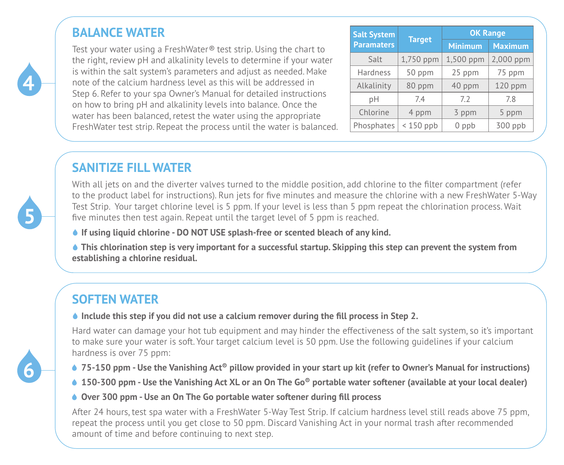# **BALANCE WATER**

Test your water using a FreshWater*®* test strip. Using the chart to the right, review pH and alkalinity levels to determine if your water is within the salt system's parameters and adjust as needed. Make note of the calcium hardness level as this will be addressed in Step 6. Refer to your spa Owner's Manual for detailed instructions on how to bring pH and alkalinity levels into balance. Once the water has been balanced, retest the water using the appropriate FreshWater test strip. Repeat the process until the water is balanced.

| <b>Salt System</b> |               | <b>OK Range</b> |                |  |
|--------------------|---------------|-----------------|----------------|--|
| <b>Paramaters</b>  | <b>Target</b> | <b>Minimum</b>  | <b>Maximum</b> |  |
| Salt               | 1,750 ppm     | 1,500 ppm       | 2,000 ppm      |  |
| Hardness           | 50 ppm        | 25 ppm          | 75 ppm         |  |
| Alkalinity         | 80 ppm        | 40 ppm          | 120 ppm        |  |
| рH                 | 7.4           | 7.2             | 7.8            |  |
| Chlorine           | 4 ppm         | 3 ppm           | 5 ppm          |  |
| Phosphates         | $< 150$ ppb   | $0$ ppb         | 300 ppb        |  |

# **SANITIZE FILL WATER**

With all jets on and the diverter valves turned to the middle position, add chlorine to the filter compartment (refer to the product label for instructions). Run jets for five minutes and measure the chlorine with a new FreshWater 5-Way Test Strip. Your target chlorine level is 5 ppm. If your level is less than 5 ppm repeat the chlorination process. Wait five minutes then test again. Repeat until the target level of 5 ppm is reached.

 **If using liquid chlorine - DO NOT USE splash-free or scented bleach of any kind.**

 **This chlorination step is very important for a successful startup. Skipping this step can prevent the system from establishing a chlorine residual.**

# **SOFTEN WATER**

## **↓** Include this step if you did not use a calcium remover during the fill process in Step 2.

Hard water can damage your hot tub equipment and may hinder the effectiveness of the salt system, so it's important to make sure your water is soft. Your target calcium level is 50 ppm. Use the following guidelines if your calcium hardness is over 75 ppm:

- **75-150 ppm Use the Vanishing Act<sup>®</sup> pillow provided in your start up kit (refer to Owner's Manual for instructions)**
- **150-300 ppm Use the Vanishing Act XL or an On The Go® portable water softener (available at your local dealer)**
- **Over 300 ppm Use an On The Go portable water softener during fill process**

After 24 hours, test spa water with a FreshWater 5-Way Test Strip. If calcium hardness level still reads above 75 ppm, repeat the process until you get close to 50 ppm. Discard Vanishing Act in your normal trash after recommended amount of time and before continuing to next step.



**5**

**4**